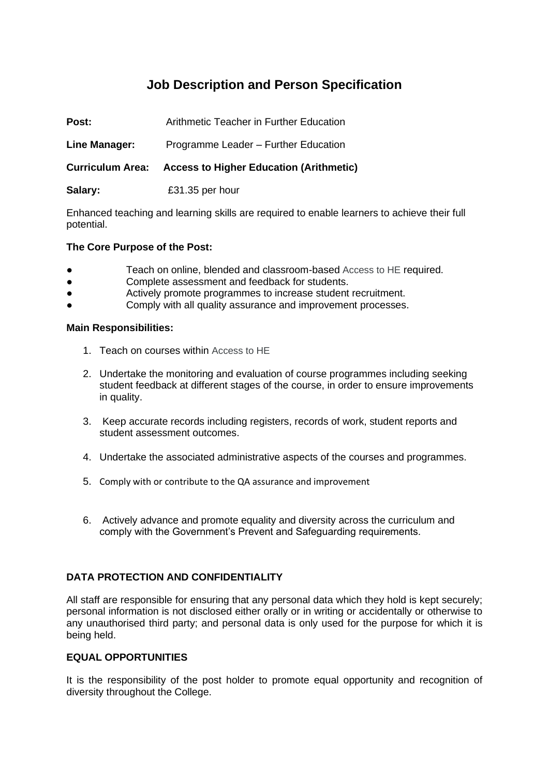# **Job Description and Person Specification**

| Post:         | Arithmetic Teacher in Further Education                  |  |  |
|---------------|----------------------------------------------------------|--|--|
| Line Manager: | Programme Leader - Further Education                     |  |  |
|               | Curriculum Area: Access to Higher Education (Arithmetic) |  |  |
| Salary:       | £31.35 per hour                                          |  |  |
|               |                                                          |  |  |

Enhanced teaching and learning skills are required to enable learners to achieve their full potential.

#### **The Core Purpose of the Post:**

- Teach on online, blended and classroom-based Access to HE required.
- Complete assessment and feedback for students.
- Actively promote programmes to increase student recruitment.
- Comply with all quality assurance and improvement processes.

#### **Main Responsibilities:**

- 1. Teach on courses within Access to HE
- 2. Undertake the monitoring and evaluation of course programmes including seeking student feedback at different stages of the course, in order to ensure improvements in quality.
- 3. Keep accurate records including registers, records of work, student reports and student assessment outcomes.
- 4. Undertake the associated administrative aspects of the courses and programmes.
- 5. Comply with or contribute to the QA assurance and improvement
- 6. Actively advance and promote equality and diversity across the curriculum and comply with the Government's Prevent and Safeguarding requirements.

#### **DATA PROTECTION AND CONFIDENTIALITY**

All staff are responsible for ensuring that any personal data which they hold is kept securely; personal information is not disclosed either orally or in writing or accidentally or otherwise to any unauthorised third party; and personal data is only used for the purpose for which it is being held.

#### **EQUAL OPPORTUNITIES**

It is the responsibility of the post holder to promote equal opportunity and recognition of diversity throughout the College.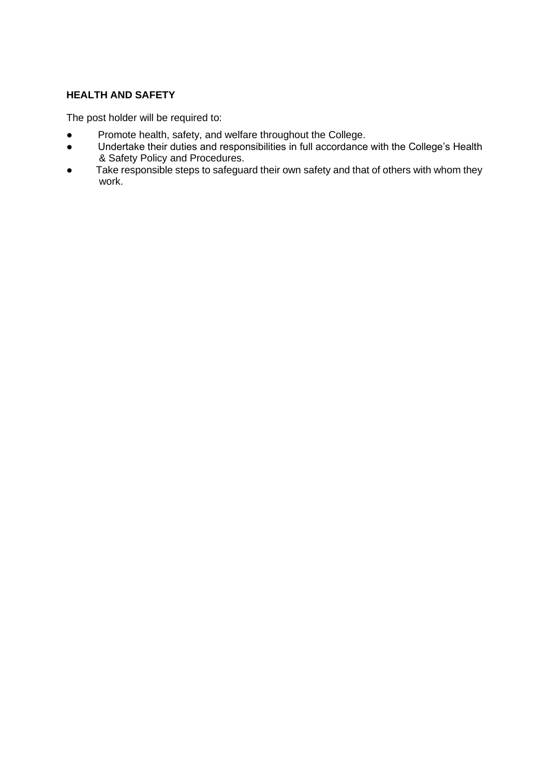## **HEALTH AND SAFETY**

The post holder will be required to:

- Promote health, safety, and welfare throughout the College.<br>● Undertake their duties and responsibilities in full accordance
- Undertake their duties and responsibilities in full accordance with the College's Health & Safety Policy and Procedures.
- Take responsible steps to safeguard their own safety and that of others with whom they work.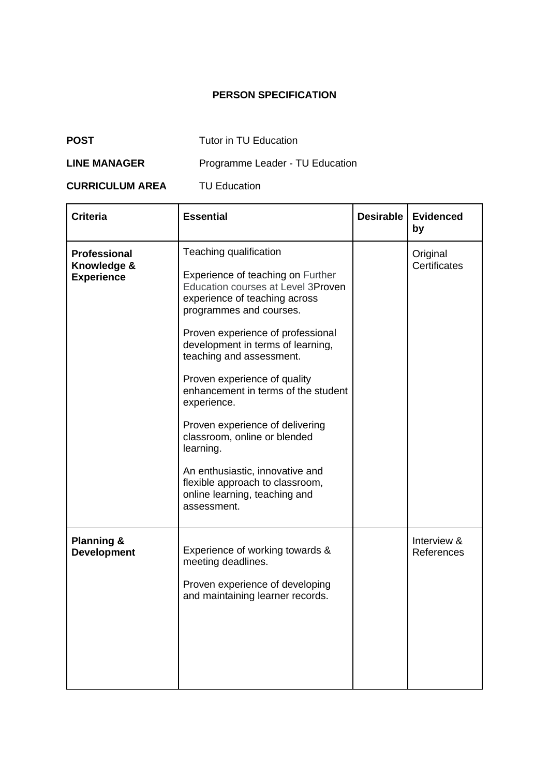### **PERSON SPECIFICATION**

| <b>POST</b>         | Tutor in TU Education           |
|---------------------|---------------------------------|
| <b>LINE MANAGER</b> | Programme Leader - TU Education |

**CURRICULUM AREA** TU Education

| <b>Criteria</b>                                         | <b>Essential</b>                                                                                                                                                                                                                                                                                                                                                                                                                                                                                                                                                | <b>Desirable</b> | <b>Evidenced</b><br>by    |
|---------------------------------------------------------|-----------------------------------------------------------------------------------------------------------------------------------------------------------------------------------------------------------------------------------------------------------------------------------------------------------------------------------------------------------------------------------------------------------------------------------------------------------------------------------------------------------------------------------------------------------------|------------------|---------------------------|
| <b>Professional</b><br>Knowledge &<br><b>Experience</b> | Teaching qualification<br>Experience of teaching on Further<br>Education courses at Level 3Proven<br>experience of teaching across<br>programmes and courses.<br>Proven experience of professional<br>development in terms of learning,<br>teaching and assessment.<br>Proven experience of quality<br>enhancement in terms of the student<br>experience.<br>Proven experience of delivering<br>classroom, online or blended<br>learning.<br>An enthusiastic, innovative and<br>flexible approach to classroom,<br>online learning, teaching and<br>assessment. |                  | Original<br>Certificates  |
| <b>Planning &amp;</b><br><b>Development</b>             | Experience of working towards &<br>meeting deadlines.<br>Proven experience of developing<br>and maintaining learner records.                                                                                                                                                                                                                                                                                                                                                                                                                                    |                  | Interview &<br>References |